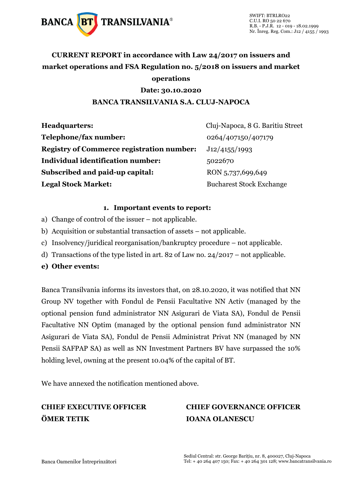

### **CURRENT REPORT in accordance with Law 24/2017 on issuers and market operations and FSA Regulation no. 5/2018 on issuers and market operations**

#### **Date: 30.10.2020**

#### **BANCA TRANSILVANIA S.A. CLUJ-NAPOCA**

| <b>Headquarters:</b>                             | Cluj-Napoca, 8 G. Baritiu Street |
|--------------------------------------------------|----------------------------------|
| Telephone/fax number:                            | 0264/407150/407179               |
| <b>Registry of Commerce registration number:</b> | J12/4155/1993                    |
| <b>Individual identification number:</b>         | 5022670                          |
| Subscribed and paid-up capital:                  | RON 5,737,699,649                |
| <b>Legal Stock Market:</b>                       | <b>Bucharest Stock Exchange</b>  |

#### **1. Important events to report:**

- a) Change of control of the issuer not applicable.
- b) Acquisition or substantial transaction of assets not applicable.
- c) Insolvency/juridical reorganisation/bankruptcy procedure not applicable.
- d) Transactions of the type listed in art. 82 of Law no. 24/2017 not applicable.
- **e) Other events:**

Banca Transilvania informs its investors that, on 28.10.2020, it was notified that NN Group NV together with Fondul de Pensii Facultative NN Activ (managed by the optional pension fund administrator NN Asigurari de Viata SA), Fondul de Pensii Facultative NN Optim (managed by the optional pension fund administrator NN Asigurari de Viata SA), Fondul de Pensii Administrat Privat NN (managed by NN Pensii SAFPAP SA) as well as NN Investment Partners BV have surpassed the 10% holding level, owning at the present 10.04% of the capital of BT.

We have annexed the notification mentioned above.

## **ÖMER TETIK IOANA OLANESCU**

# **CHIEF EXECUTIVE OFFICER CHIEF GOVERNANCE OFFICER**